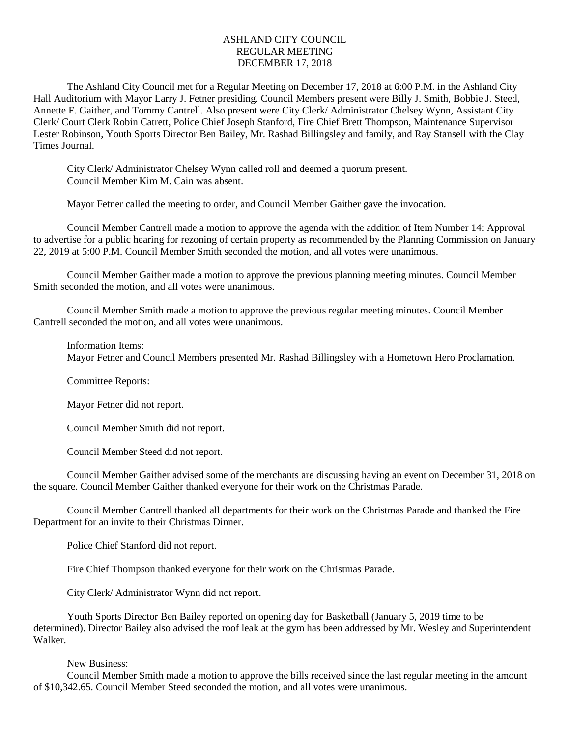## ASHLAND CITY COUNCIL REGULAR MEETING DECEMBER 17, 2018

The Ashland City Council met for a Regular Meeting on December 17, 2018 at 6:00 P.M. in the Ashland City Hall Auditorium with Mayor Larry J. Fetner presiding. Council Members present were Billy J. Smith, Bobbie J. Steed, Annette F. Gaither, and Tommy Cantrell. Also present were City Clerk/ Administrator Chelsey Wynn, Assistant City Clerk/ Court Clerk Robin Catrett, Police Chief Joseph Stanford, Fire Chief Brett Thompson, Maintenance Supervisor Lester Robinson, Youth Sports Director Ben Bailey, Mr. Rashad Billingsley and family, and Ray Stansell with the Clay Times Journal.

City Clerk/ Administrator Chelsey Wynn called roll and deemed a quorum present. Council Member Kim M. Cain was absent.

Mayor Fetner called the meeting to order, and Council Member Gaither gave the invocation.

Council Member Cantrell made a motion to approve the agenda with the addition of Item Number 14: Approval to advertise for a public hearing for rezoning of certain property as recommended by the Planning Commission on January 22, 2019 at 5:00 P.M. Council Member Smith seconded the motion, and all votes were unanimous.

Council Member Gaither made a motion to approve the previous planning meeting minutes. Council Member Smith seconded the motion, and all votes were unanimous.

Council Member Smith made a motion to approve the previous regular meeting minutes. Council Member Cantrell seconded the motion, and all votes were unanimous.

## Information Items:

Mayor Fetner and Council Members presented Mr. Rashad Billingsley with a Hometown Hero Proclamation.

Committee Reports:

Mayor Fetner did not report.

Council Member Smith did not report.

Council Member Steed did not report.

Council Member Gaither advised some of the merchants are discussing having an event on December 31, 2018 on the square. Council Member Gaither thanked everyone for their work on the Christmas Parade.

Council Member Cantrell thanked all departments for their work on the Christmas Parade and thanked the Fire Department for an invite to their Christmas Dinner.

Police Chief Stanford did not report.

Fire Chief Thompson thanked everyone for their work on the Christmas Parade.

City Clerk/ Administrator Wynn did not report.

Youth Sports Director Ben Bailey reported on opening day for Basketball (January 5, 2019 time to be determined). Director Bailey also advised the roof leak at the gym has been addressed by Mr. Wesley and Superintendent Walker.

## New Business:

Council Member Smith made a motion to approve the bills received since the last regular meeting in the amount of \$10,342.65. Council Member Steed seconded the motion, and all votes were unanimous.